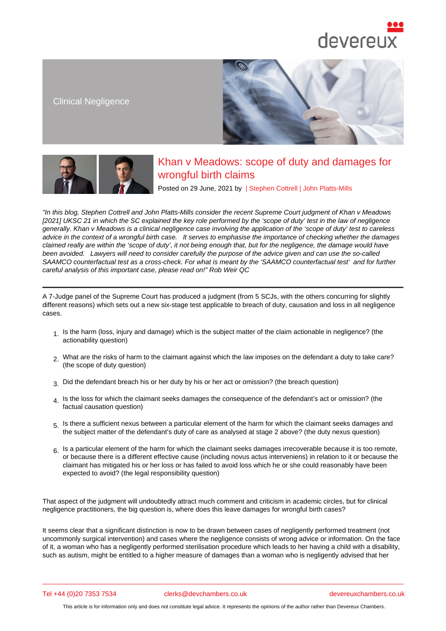Clinical Negligence

# Khan v Meadows: scope of duty and damages for wrongful birth claims

Posted on 29 June, 2021 by | Stephen Cottrell | John Platts-Mills

"In this blog, Stephen Cottrell and John Platts-Mills consider the recent Supreme Court judgment of Khan v Meadows [2021] UKSC 21 in which the SC explained the key role performed by the 'scope of duty' test in the law of negligence generally. Khan v Meadows is a clinical negligence case involving th[e application of th](/barristers/profile/stephen-cottrell)e ['scope of duty' te](/barristers/profile/john-platts-mills)st to careless advice in the context of a wrongful birth case. It serves to emphasise the importance of checking whether the damages claimed reall[y are within the 's](https://www.devereuxchambers.co.uk/barristers/profile/stephen-cottrell)cop[e of duty', it not b](https://www.devereuxchambers.co.uk/barristers/profile/john-platts-mills)eing enough that, but for the negligence, the damage would have been avoided. Lawyers will need to consider carefully the purpose of the advice given and can use the so-called SAAMCO counterfactual test as a cross-check. For what is meant by the 'SAAMCO counterfactual test' and for further careful analysis of this important case, please read on!" Rob Weir QC

A 7-Judge panel of the Supreme Court has produced a judgment (from 5 SCJs, with the others concurring for slightly different reasons) which sets out a new six-stage test a[pplicable to bre](https://www.devereuxchambers.co.uk/barristers/profile/robert-weir)ach of duty, causation and loss in all negligence cases.

- 1. Is the harm (loss, injury and damage) which is the subject matter of the claim actionable in negligence? (the actionability question)
- 2. What are the risks of harm to the claimant against which the law imposes on the defendant a duty to take care? (the scope of duty question)
- 3. Did the defendant breach his or her duty by his or her act or omission? (the breach question)
- 4. Is the loss for which the claimant seeks damages the consequence of the defendant's act or omission? (the factual causation question)
- 5. Is there a sufficient nexus between a particular element of the harm for which the claimant seeks damages and the subject matter of the defendant's duty of care as analysed at stage 2 above? (the duty nexus question)
- $6.$  Is a particular element of the harm for which the claimant seeks damages irrecoverable because it is too remote, or because there is a different effective cause (including novus actus interveniens) in relation to it or because the claimant has mitigated his or her loss or has failed to avoid loss which he or she could reasonably have been expected to avoid? (the legal responsibility question)

That aspect of the judgment will undoubtedly attract much comment and criticism in academic circles, but for clinical negligence practitioners, the big question is, where does this leave damages for wrongful birth cases?

It seems clear that a significant distinction is now to be drawn between cases of negligently performed treatment (not uncommonly surgical intervention) and cases where the negligence consists of wrong advice or information. On the face of it, a woman who has a negligently performed sterilisation procedure which leads to her having a child with a disability, such as autism, might be entitled to a higher measure of damages than a woman who is negligently advised that her

Tel +44 (0)20 7353 7534 clerks@devchambers.co.uk devereuxchambers.co.uk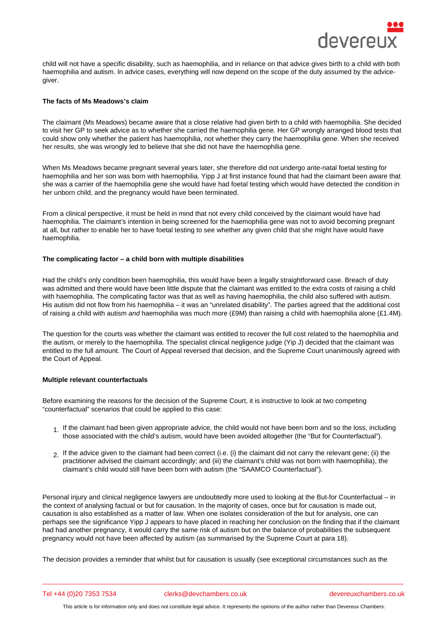child will not have a specific disability, such as haemophilia, and in reliance on that advice gives birth to a child with both haemophilia and autism. In advice cases, everything will now depend on the scope of the duty assumed by the advicegiver.

### The facts of Ms Meadows's claim

The claimant (Ms Meadows) became aware that a close relative had given birth to a child with haemophilia. She decided to visit her GP to seek advice as to whether she carried the haemophilia gene. Her GP wrongly arranged blood tests that could show only whether the patient has haemophilia, not whether they carry the haemophilia gene. When she received her results, she was wrongly led to believe that she did not have the haemophilia gene.

When Ms Meadows became pregnant several years later, she therefore did not undergo ante-natal foetal testing for haemophilia and her son was born with haemophilia. Yipp J at first instance found that had the claimant been aware that she was a carrier of the haemophilia gene she would have had foetal testing which would have detected the condition in her unborn child, and the pregnancy would have been terminated.

From a clinical perspective, it must be held in mind that not every child conceived by the claimant would have had haemophilia. The claimant's intention in being screened for the haemophilia gene was not to avoid becoming pregnant at all, but rather to enable her to have foetal testing to see whether any given child that she might have would have haemophilia.

#### The complicating factor  $-$  a child born with multiple disabilities

Had the child's only condition been haemophilia, this would have been a legally straightforward case. Breach of duty was admitted and there would have been little dispute that the claimant was entitled to the extra costs of raising a child with haemophilia. The complicating factor was that as well as having haemophilia, the child also suffered with autism. His autism did not flow from his haemophilia – it was an "unrelated disability". The parties agreed that the additional cost of raising a child with autism and haemophilia was much more (£9M) than raising a child with haemophilia alone (£1.4M).

The question for the courts was whether the claimant was entitled to recover the full cost related to the haemophilia and the autism, or merely to the haemophilia. The specialist clinical negligence judge (Yip J) decided that the claimant was entitled to the full amount. The Court of Appeal reversed that decision, and the Supreme Court unanimously agreed with the Court of Appeal.

## Multiple relevant counterfactuals

Before examining the reasons for the decision of the Supreme Court, it is instructive to look at two competing "counterfactual" scenarios that could be applied to this case:

- 1. If the claimant had been given appropriate advice, the child would not have been born and so the loss, including those associated with the child's autism, would have been avoided altogether (the "But for Counterfactual").
- 2. If the advice given to the claimant had been correct (i.e. (i) the claimant did not carry the relevant gene; (ii) the practitioner advised the claimant accordingly; and (iii) the claimant's child was not born with haemophilia), the claimant's child would still have been born with autism (the "SAAMCO Counterfactual").

Personal injury and clinical negligence lawyers are undoubtedly more used to looking at the But-for Counterfactual – in the context of analysing factual or but for causation. In the majority of cases, once but for causation is made out, causation is also established as a matter of law. When one isolates consideration of the but for analysis, one can perhaps see the significance Yipp J appears to have placed in reaching her conclusion on the finding that if the claimant had had another pregnancy, it would carry the same risk of autism but on the balance of probabilities the subsequent pregnancy would not have been affected by autism (as summarised by the Supreme Court at para 18).

The decision provides a reminder that whilst but for causation is usually (see exceptional circumstances such as the

Tel +44 (0)20 7353 7534 clerks@devchambers.co.uk devereuxchambers.co.uk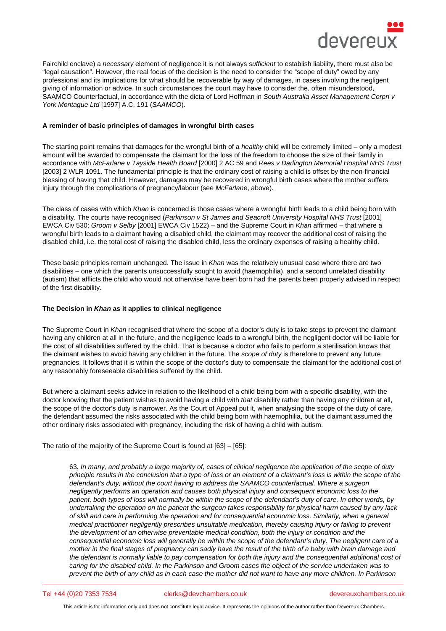Fairchild enclave) a necessary element of negligence it is not always sufficient to establish liability, there must also be "legal causation". However, the real focus of the decision is the need to consider the "scope of duty" owed by any professional and its implications for what should be recoverable by way of damages, in cases involving the negligent giving of information or advice. In such circumstances the court may have to consider the, often misunderstood, SAAMCO Counterfactual, in accordance with the dicta of Lord Hoffman in South Australia Asset Management Corpn v York Montague Ltd [1997] A.C. 191 (SAAMCO).

A reminder of basic principles of damages in wrongful birth cases

The starting point remains that damages for the wrongful birth of a healthy child will be extremely limited – only a modest amount will be awarded to compensate the claimant for the loss of the freedom to choose the size of their family in accordance with McFarlane v Tayside Health Board [2000] 2 AC 59 and Rees v Darlington Memorial Hospital NHS Trust [2003] 2 WLR 1091. The fundamental principle is that the ordinary cost of raising a child is offset by the non-financial blessing of having that child. However, damages may be recovered in wrongful birth cases where the mother suffers injury through the complications of pregnancy/labour (see McFarlane, above).

The class of cases with which Khan is concerned is those cases where a wrongful birth leads to a child being born with a disability. The courts have recognised (Parkinson v St James and Seacroft University Hospital NHS Trust [2001] EWCA Civ 530; Groom v Selby [2001] EWCA Civ 1522) – and the Supreme Court in Khan affirmed – that where a wrongful birth leads to a claimant having a disabled child, the claimant may recover the additional cost of raising the disabled child, i.e. the total cost of raising the disabled child, less the ordinary expenses of raising a healthy child.

These basic principles remain unchanged. The issue in Khan was the relatively unusual case where there are two disabilities – one which the parents unsuccessfully sought to avoid (haemophilia), and a second unrelated disability (autism) that afflicts the child who would not otherwise have been born had the parents been properly advised in respect of the first disability.

The Decision in Khan as it applies to clinical negligence

The Supreme Court in Khan recognised that where the scope of a doctor's duty is to take steps to prevent the claimant having any children at all in the future, and the negligence leads to a wrongful birth, the negligent doctor will be liable for the cost of all disabilities suffered by the child. That is because a doctor who fails to perform a sterilisation knows that the claimant wishes to avoid having any children in the future. The scope of duty is therefore to prevent any future pregnancies. It follows that it is within the scope of the doctor's duty to compensate the claimant for the additional cost of any reasonably foreseeable disabilities suffered by the child.

But where a claimant seeks advice in relation to the likelihood of a child being born with a specific disability, with the doctor knowing that the patient wishes to avoid having a child with that disability rather than having any children at all, the scope of the doctor's duty is narrower. As the Court of Appeal put it, when analysing the scope of the duty of care, the defendant assumed the risks associated with the child being born with haemophilia, but the claimant assumed the other ordinary risks associated with pregnancy, including the risk of having a child with autism.

The ratio of the majority of the Supreme Court is found at [63] – [65]:

63. In many, and probably a large majority of, cases of clinical negligence the application of the scope of duty principle results in the conclusion that a type of loss or an element of a claimant's loss is within the scope of the defendant's duty, without the court having to address the SAAMCO counterfactual. Where a surgeon negligently performs an operation and causes both physical injury and consequent economic loss to the patient, both types of loss will normally be within the scope of the defendant's duty of care. In other words, by undertaking the operation on the patient the surgeon takes responsibility for physical harm caused by any lack of skill and care in performing the operation and for consequential economic loss. Similarly, when a general medical practitioner negligently prescribes unsuitable medication, thereby causing injury or failing to prevent the development of an otherwise preventable medical condition, both the injury or condition and the consequential economic loss will generally be within the scope of the defendant's duty. The negligent care of a mother in the final stages of pregnancy can sadly have the result of the birth of a baby with brain damage and the defendant is normally liable to pay compensation for both the injury and the consequential additional cost of caring for the disabled child. In the Parkinson and Groom cases the object of the service undertaken was to prevent the birth of any child as in each case the mother did not want to have any more children. In Parkinson

#### Tel +44 (0)20 7353 7534 clerks@devchambers.co.uk devereuxchambers.co.uk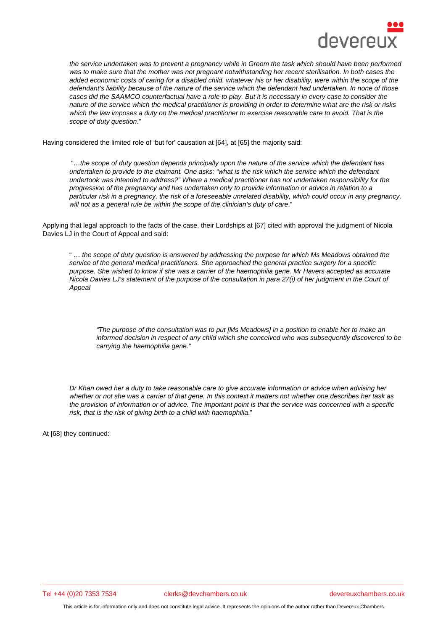the service undertaken was to prevent a pregnancy while in Groom the task which should have been performed was to make sure that the mother was not pregnant notwithstanding her recent sterilisation. In both cases the added economic costs of caring for a disabled child, whatever his or her disability, were within the scope of the defendant's liability because of the nature of the service which the defendant had undertaken. In none of those cases did the SAAMCO counterfactual have a role to play. But it is necessary in every case to consider the nature of the service which the medical practitioner is providing in order to determine what are the risk or risks which the law imposes a duty on the medical practitioner to exercise reasonable care to avoid. That is the scope of duty question."

Having considered the limited role of 'but for' causation at [64], at [65] the majority said:

 "…the scope of duty question depends principally upon the nature of the service which the defendant has undertaken to provide to the claimant. One asks: "what is the risk which the service which the defendant undertook was intended to address?" Where a medical practitioner has not undertaken responsibility for the progression of the pregnancy and has undertaken only to provide information or advice in relation to a particular risk in a pregnancy, the risk of a foreseeable unrelated disability, which could occur in any pregnancy, will not as a general rule be within the scope of the clinician's duty of care."

Applying that legal approach to the facts of the case, their Lordships at [67] cited with approval the judgment of Nicola Davies LJ in the Court of Appeal and said:

" … the scope of duty question is answered by addressing the purpose for which Ms Meadows obtained the service of the general medical practitioners. She approached the general practice surgery for a specific purpose. She wished to know if she was a carrier of the haemophilia gene. Mr Havers accepted as accurate Nicola Davies LJ's statement of the purpose of the consultation in para 27(i) of her judgment in the Court of Appeal

"The purpose of the consultation was to put [Ms Meadows] in a position to enable her to make an informed decision in respect of any child which she conceived who was subsequently discovered to be carrying the haemophilia gene."

Dr Khan owed her a duty to take reasonable care to give accurate information or advice when advising her whether or not she was a carrier of that gene. In this context it matters not whether one describes her task as the provision of information or of advice. The important point is that the service was concerned with a specific risk, that is the risk of giving birth to a child with haemophilia."

At [68] they continued:

Tel +44 (0)20 7353 7534 clerks@devchambers.co.uk devereuxchambers.co.uk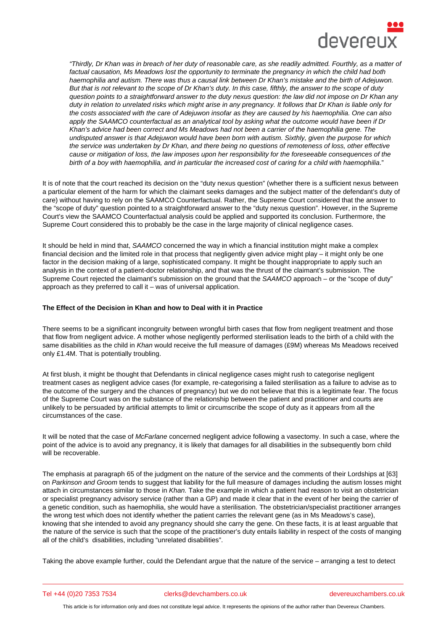"Thirdly, Dr Khan was in breach of her duty of reasonable care, as she readily admitted. Fourthly, as a matter of factual causation, Ms Meadows lost the opportunity to terminate the pregnancy in which the child had both haemophilia and autism. There was thus a causal link between Dr Khan's mistake and the birth of Adejuwon. But that is not relevant to the scope of Dr Khan's duty. In this case, fifthly, the answer to the scope of duty question points to a straightforward answer to the duty nexus question: the law did not impose on Dr Khan any duty in relation to unrelated risks which might arise in any pregnancy. It follows that Dr Khan is liable only for the costs associated with the care of Adejuwon insofar as they are caused by his haemophilia. One can also apply the SAAMCO counterfactual as an analytical tool by asking what the outcome would have been if Dr Khan's advice had been correct and Ms Meadows had not been a carrier of the haemophilia gene. The undisputed answer is that Adejuwon would have been born with autism. Sixthly, given the purpose for which the service was undertaken by Dr Khan, and there being no questions of remoteness of loss, other effective cause or mitigation of loss, the law imposes upon her responsibility for the foreseeable consequences of the birth of a boy with haemophilia, and in particular the increased cost of caring for a child with haemophilia."

It is of note that the court reached its decision on the "duty nexus question" (whether there is a sufficient nexus between a particular element of the harm for which the claimant seeks damages and the subject matter of the defendant's duty of care) without having to rely on the SAAMCO Counterfactual. Rather, the Supreme Court considered that the answer to the "scope of duty" question pointed to a straightforward answer to the "duty nexus question". However, in the Supreme Court's view the SAAMCO Counterfactual analysis could be applied and supported its conclusion. Furthermore, the Supreme Court considered this to probably be the case in the large majority of clinical negligence cases.

It should be held in mind that, SAAMCO concerned the way in which a financial institution might make a complex financial decision and the limited role in that process that negligently given advice might play – it might only be one factor in the decision making of a large, sophisticated company. It might be thought inappropriate to apply such an analysis in the context of a patient-doctor relationship, and that was the thrust of the claimant's submission. The Supreme Court rejected the claimant's submission on the ground that the SAAMCO approach – or the "scope of duty" approach as they preferred to call it – was of universal application.

The Effect of the Decision in Khan and how to Deal with it in Practice

There seems to be a significant incongruity between wrongful birth cases that flow from negligent treatment and those that flow from negligent advice. A mother whose negligently performed sterilisation leads to the birth of a child with the same disabilities as the child in Khan would receive the full measure of damages (£9M) whereas Ms Meadows received only £1.4M. That is potentially troubling.

At first blush, it might be thought that Defendants in clinical negligence cases might rush to categorise negligent treatment cases as negligent advice cases (for example, re-categorising a failed sterilisation as a failure to advise as to the outcome of the surgery and the chances of pregnancy) but we do not believe that this is a legitimate fear. The focus of the Supreme Court was on the substance of the relationship between the patient and practitioner and courts are unlikely to be persuaded by artificial attempts to limit or circumscribe the scope of duty as it appears from all the circumstances of the case.

It will be noted that the case of McFarlane concerned negligent advice following a vasectomy. In such a case, where the point of the advice is to avoid any pregnancy, it is likely that damages for all disabilities in the subsequently born child will be recoverable.

The emphasis at paragraph 65 of the judgment on the nature of the service and the comments of their Lordships at [63] on Parkinson and Groom tends to suggest that liability for the full measure of damages including the autism losses might attach in circumstances similar to those in Khan. Take the example in which a patient had reason to visit an obstetrician or specialist pregnancy advisory service (rather than a GP) and made it clear that in the event of her being the carrier of a genetic condition, such as haemophilia, she would have a sterilisation. The obstetrician/specialist practitioner arranges the wrong test which does not identify whether the patient carries the relevant gene (as in Ms Meadows's case), knowing that she intended to avoid any pregnancy should she carry the gene. On these facts, it is at least arguable that the nature of the service is such that the scope of the practitioner's duty entails liability in respect of the costs of manging all of the child's disabilities, including "unrelated disabilities".

Taking the above example further, could the Defendant argue that the nature of the service – arranging a test to detect

Tel +44 (0)20 7353 7534 clerks@devchambers.co.uk devereuxchambers.co.uk